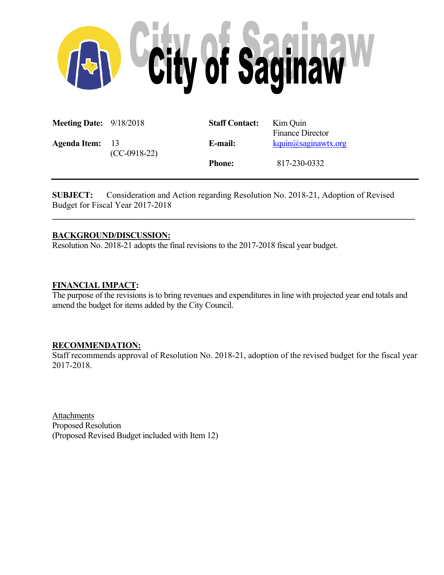

| <b>Meeting Date:</b> $9/18/2018$ |                | <b>Staff Contact:</b> | Kim Quin<br><b>Finance Director</b> |
|----------------------------------|----------------|-----------------------|-------------------------------------|
| <b>Agenda Item:</b> 13           | $(CC-0918-22)$ | E-mail:               | kquin@saginawtx.org                 |
|                                  |                | <b>Phone:</b>         | 817-230-0332                        |

**SUBJECT:** Consideration and Action regarding Resolution No. 2018-21, Adoption of Revised Budget for Fiscal Year 2017-2018

**\_\_\_\_\_\_\_\_\_\_\_\_\_\_\_\_\_\_\_\_\_\_\_\_\_\_\_\_\_\_\_\_\_\_\_\_\_\_\_\_\_\_\_\_\_\_\_\_\_\_\_\_\_\_\_\_\_\_\_\_\_\_\_\_\_\_\_\_\_\_\_\_\_\_\_\_\_\_\_\_\_\_\_\_\_\_\_**

# **BACKGROUND/DISCUSSION:**

Resolution No. 2018-21 adopts the final revisions to the 2017-2018 fiscal year budget.

## **FINANCIAL IMPACT:**

The purpose of the revisions is to bring revenues and expenditures in line with projected year end totals and amend the budget for items added by the City Council.

#### **RECOMMENDATION:**

Staff recommends approval of Resolution No. 2018-21, adoption of the revised budget for the fiscal year 2017-2018.

Attachments Proposed Resolution (Proposed Revised Budget included with Item 12)